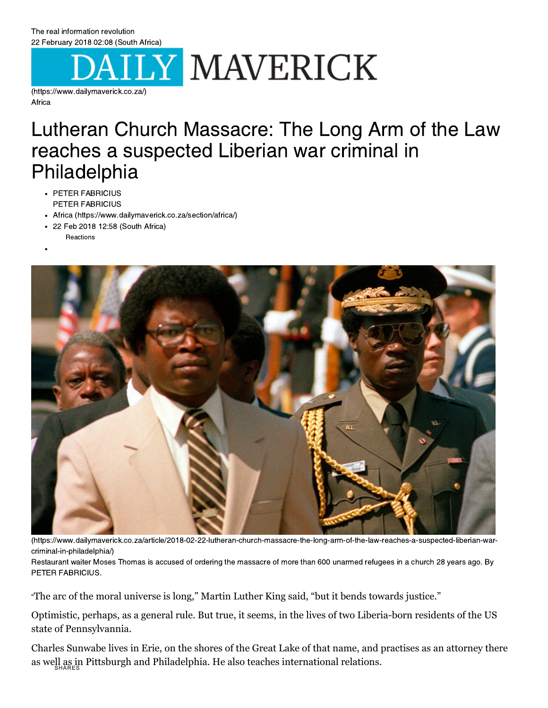## [22 February 2018 02:08 \(South Africa\)](https://www.dailymaverick.co.za/)

(https://www.dailymaverick.co.za/)

## Lutheran Church Massacre: The Long Arm of the Law Philadelphia

- $\cdot$  PETER FABRICIUS PETER FABRICIUS
- Africa (https://www.dailymaverick.co.za/section/africa/)
- 22 Feb 2018 12:58 (South Africa) **Reactions**



(https://www.dailymaverick.co.za/article/2018-02-22-lutheran-church-massacre-the-long-arm-of-the-law-reaches-a-suspected-liberian-warcriminal-in-philadelphia/)

Restaurant waiter Moses Thomas is accused of ordering the massacre of more than 600 unarmed refugees in a church 28 years ago. By PETER FABRICIUS. PETER FABRICIUS.

"The arc of the moral universe is long," Martin Luther King said, "but it bends towards justice."

Optimistic, perhaps, as a general rule. But true, it seems, in the lives of two Liberia-born residents of the US state of Pennsylvannia.

Charles Sunwabe lives in Erie, on the shores of the Great Lake of that name, and practises as an attorney there as well as in Pittsburgh and Philadelphia. He also teaches international relations. SHARES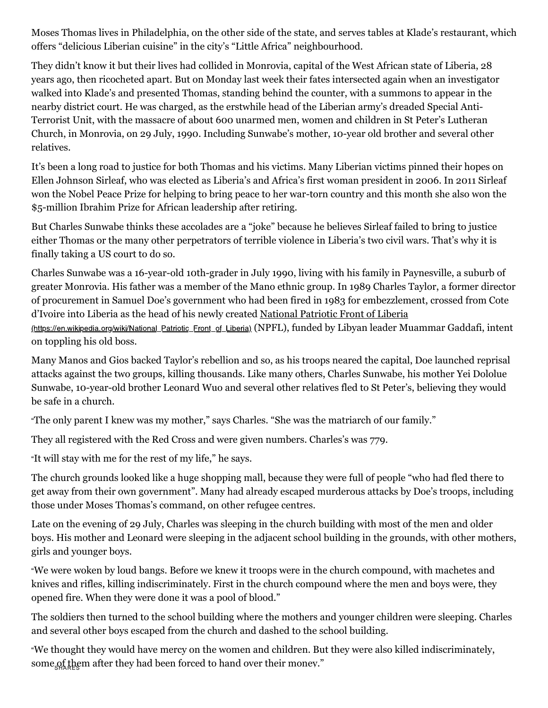Moses Thomas lives in Philadelphia, on the other side of the state, and serves tables at Klade's restaurant, which offers "delicious Liberian cuisine" in the city's "Little Africa" neighbourhood.

They didn't know it but their lives had collided in Monrovia, capital of the West African state of Liberia, 28 years ago, then ricocheted apart. But on Monday last week their fates intersected again when an investigator walked into Klade's and presented Thomas, standing behind the counter, with a summons to appear in the nearby district court. He was charged, as the erstwhile head of the Liberian army's dreaded Special Anti-Terrorist Unit, with the massacre of about 600 unarmed men, women and children in St Peter's Lutheran Church, in Monrovia, on 29 July, 1990. Including Sunwabe's mother, 10-year old brother and several other relatives.

It's been a long road to justice for both Thomas and his victims. Many Liberian victims pinned their hopes on Ellen Johnson Sirleaf, who was elected as Liberia's and Africa's first woman president in 2006. In 2011 Sirleaf won the Nobel Peace Prize for helping to bring peace to her war-torn country and this month she also won the \$5-million Ibrahim Prize for African leadership after retiring.

But Charles Sunwabe thinks these accolades are a "joke" because he believes Sirleaf failed to bring to justice either Thomas or the many other perpetrators of terrible violence in Liberia's two civil wars. That's why it is finally taking a US court to do so.

Charles Sunwabe was a 16-year-old 10th-grader in July 1990, living with his family in Paynesville, a suburb of greater Monrovia. His father was a member of the Mano ethnic group. In 1989 Charles Taylor, a former director of procurement in Samuel Doe's government who had been fired in 1983 for embezzlement, crossed from Cote [d'Ivoire into Liberia as the head of his newly created National Patriotic Front of Liberia](https://en.wikipedia.org/wiki/National_Patriotic_Front_of_Liberia)

(https://en.wikipedia.org/wiki/National\_Patriotic\_Front\_of\_Liberia) (NPFL), funded by Libyan leader Muammar Gaddafi, intent on toppling his old boss.

Many Manos and Gios backed Taylor's rebellion and so, as his troops neared the capital, Doe launched reprisal attacks against the two groups, killing thousands. Like many others, Charles Sunwabe, his mother Yei Dololue Sunwabe, 10-year-old brother Leonard Wuo and several other relatives fled to St Peter's, believing they would be safe in a church.

"The only parent I knew was my mother," says Charles. "She was the matriarch of our family."

They all registered with the Red Cross and were given numbers. Charles's was 779.

"It will stay with me for the rest of my life," he says.

The church grounds looked like a huge shopping mall, because they were full of people "who had fled there to get away from their own government". Many had already escaped murderous attacks by Doe's troops, including those under Moses Thomas's command, on other refugee centres.

Late on the evening of 29 July, Charles was sleeping in the church building with most of the men and older boys. His mother and Leonard were sleeping in the adjacent school building in the grounds, with other mothers, girls and younger boys.

"We were woken by loud bangs. Before we knew it troops were in the church compound, with machetes and knives and rifles, killing indiscriminately. First in the church compound where the men and boys were, they opened fire. When they were done it was a pool of blood."

The soldiers then turned to the school building where the mothers and younger children were sleeping. Charles and several other boys escaped from the church and dashed to the school building.

"We thought they would have mercy on the women and children. But they were also killed indiscriminately, some of them after they had been forced to hand over their money."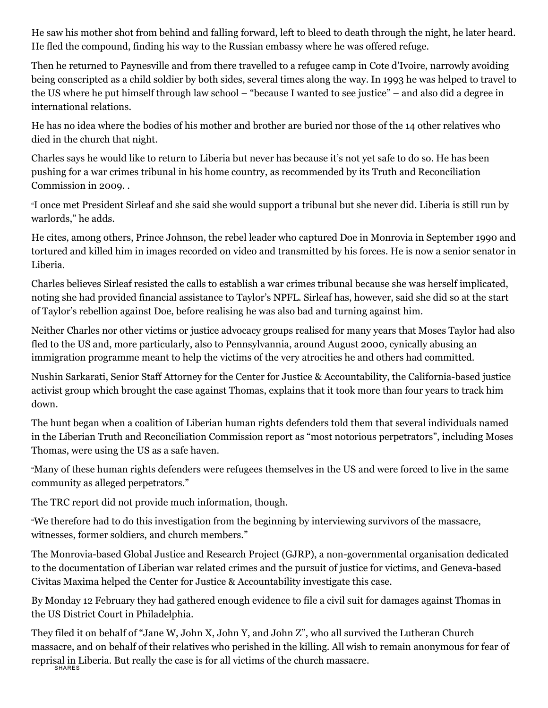He saw his mother shot from behind and falling forward, left to bleed to death through the night, he later heard. He fled the compound, finding his way to the Russian embassy where he was offered refuge.

Then he returned to Paynesville and from there travelled to a refugee camp in Cote d'Ivoire, narrowly avoiding being conscripted as a child soldier by both sides, several times along the way. In 1993 he was helped to travel to the US where he put himself through law school – "because I wanted to see justice" – and also did a degree in international relations.

He has no idea where the bodies of his mother and brother are buried nor those of the 14 other relatives who died in the church that night.

Charles says he would like to return to Liberia but never has because it's not yet safe to do so. He has been pushing for a war crimes tribunal in his home country, as recommended by its Truth and Reconciliation Commission in 2009. .

"I once met President Sirleaf and she said she would support a tribunal but she never did. Liberia is still run by warlords," he adds.

He cites, among others, Prince Johnson, the rebel leader who captured Doe in Monrovia in September 1990 and tortured and killed him in images recorded on video and transmitted by his forces. He is now a senior senator in Liberia.

Charles believes Sirleaf resisted the calls to establish a war crimes tribunal because she was herself implicated, noting she had provided financial assistance to Taylor's NPFL. Sirleaf has, however, said she did so at the start of Taylor's rebellion against Doe, before realising he was also bad and turning against him.

Neither Charles nor other victims or justice advocacy groups realised for many years that Moses Taylor had also fled to the US and, more particularly, also to Pennsylvannia, around August 2000, cynically abusing an immigration programme meant to help the victims of the very atrocities he and others had committed.

Nushin Sarkarati, Senior Staff Attorney for the Center for Justice & Accountability, the California-based justice activist group which brought the case against Thomas, explains that it took more than four years to track him down.

The hunt began when a coalition of Liberian human rights defenders told them that several individuals named in the Liberian Truth and Reconciliation Commission report as "most notorious perpetrators", including Moses Thomas, were using the US as a safe haven.

"Many of these human rights defenders were refugees themselves in the US and were forced to live in the same community as alleged perpetrators."

The TRC report did not provide much information, though.

"We therefore had to do this investigation from the beginning by interviewing survivors of the massacre, witnesses, former soldiers, and church members."

The Monrovia-based Global Justice and Research Project (GJRP), a non-governmental organisation dedicated to the documentation of Liberian war related crimes and the pursuit of justice for victims, and Geneva-based Civitas Maxima helped the Center for Justice & Accountability investigate this case.

By Monday 12 February they had gathered enough evidence to file a civil suit for damages against Thomas in the US District Court in Philadelphia.

They filed it on behalf of "Jane W, John X, John Y, and John Z", who all survived the Lutheran Church massacre, and on behalf of their relatives who perished in the killing. All wish to remain anonymous for fear of reprisal in Liberia. But really the case is for all victims of the church massacre. SHARES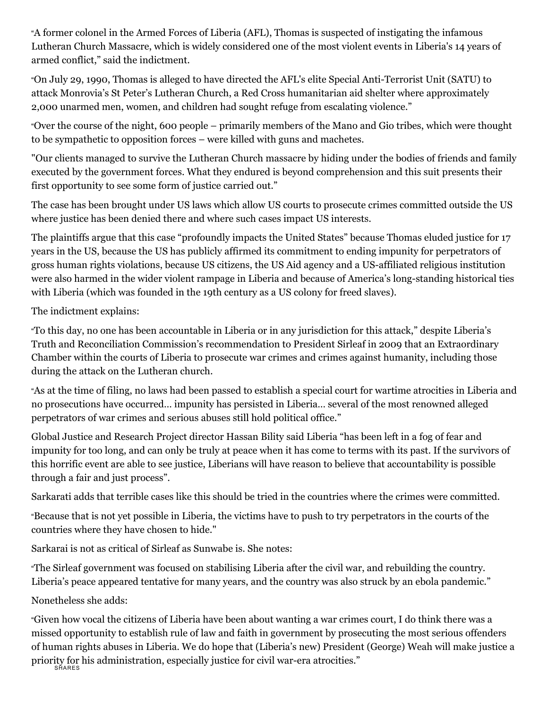"A former colonel in the Armed Forces of Liberia (AFL), Thomas is suspected of instigating the infamous Lutheran Church Massacre, which is widely considered one of the most violent events in Liberia's 14 years of armed conflict," said the indictment.

"On July 29, 1990, Thomas is alleged to have directed the AFL's elite Special Anti-Terrorist Unit (SATU) to attack Monrovia's St Peter's Lutheran Church, a Red Cross humanitarian aid shelter where approximately 2,000 unarmed men, women, and children had sought refuge from escalating violence."

"Over the course of the night, 600 people – primarily members of the Mano and Gio tribes, which were thought to be sympathetic to opposition forces – were killed with guns and machetes.

"Our clients managed to survive the Lutheran Church massacre by hiding under the bodies of friends and family executed by the government forces. What they endured is beyond comprehension and this suit presents their first opportunity to see some form of justice carried out."

The case has been brought under US laws which allow US courts to prosecute crimes committed outside the US where justice has been denied there and where such cases impact US interests.

The plaintiffs argue that this case "profoundly impacts the United States" because Thomas eluded justice for 17 years in the US, because the US has publicly affirmed its commitment to ending impunity for perpetrators of gross human rights violations, because US citizens, the US Aid agency and a US-affiliated religious institution were also harmed in the wider violent rampage in Liberia and because of America's long-standing historical ties with Liberia (which was founded in the 19th century as a US colony for freed slaves).

The indictment explains:

"To this day, no one has been accountable in Liberia or in any jurisdiction for this attack," despite Liberia's Truth and Reconciliation Commission's recommendation to President Sirleaf in 2009 that an Extraordinary Chamber within the courts of Liberia to prosecute war crimes and crimes against humanity, including those during the attack on the Lutheran church.

"As at the time of filing, no laws had been passed to establish a special court for wartime atrocities in Liberia and no prosecutions have occurred… impunity has persisted in Liberia… several of the most renowned alleged perpetrators of war crimes and serious abuses still hold political office."

Global Justice and Research Project director Hassan Bility said Liberia "has been left in a fog of fear and impunity for too long, and can only be truly at peace when it has come to terms with its past. If the survivors of this horrific event are able to see justice, Liberians will have reason to believe that accountability is possible through a fair and just process".

Sarkarati adds that terrible cases like this should be tried in the countries where the crimes were committed.

"Because that is not yet possible in Liberia, the victims have to push to try perpetrators in the courts of the countries where they have chosen to hide."

Sarkarai is not as critical of Sirleaf as Sunwabe is. She notes:

"The Sirleaf government was focused on stabilising Liberia after the civil war, and rebuilding the country. Liberia's peace appeared tentative for many years, and the country was also struck by an ebola pandemic."

Nonetheless she adds:

"Given how vocal the citizens of Liberia have been about wanting a war crimes court, I do think there was a missed opportunity to establish rule of law and faith in government by prosecuting the most serious offenders of human rights abuses in Liberia. We do hope that (Liberia's new) President (George) Weah will make justice a priority for his administration, especially justice for civil war-era atrocities." SHARES